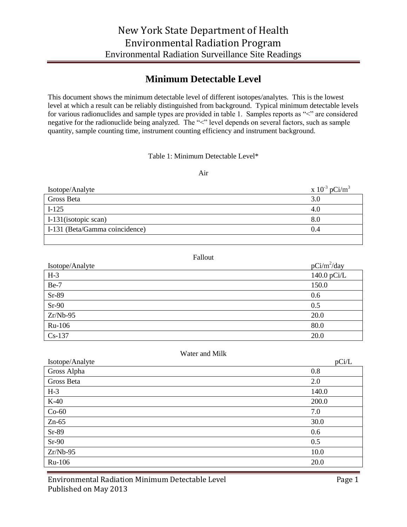## **Minimum Detectable Level**

This document shows the minimum detectable level of different isotopes/analytes. This is the lowest level at which a result can be reliably distinguished from background. Typical minimum detectable levels for various radionuclides and sample types are provided in table 1. Samples reports as "<" are considered negative for the radionuclide being analyzed. The "<" level depends on several factors, such as sample quantity, sample counting time, instrument counting efficiency and instrument background.

### Table 1: Minimum Detectable Level\*

#### Air

| Isotope/Analyte                | x $10^{-3}$ pCi/m <sup>3</sup> |
|--------------------------------|--------------------------------|
| Gross Beta                     | 3.0                            |
| $I-125$                        | 4.0                            |
| I-131 (isotopic scan)          | 8.0                            |
| I-131 (Beta/Gamma coincidence) | 0.4                            |
|                                |                                |

#### Fallout

| Isotope/Analyte | $pCi/m^2/day$ |
|-----------------|---------------|
| $H-3$           | 140.0 $pCi/L$ |
| Be-7            | 150.0         |
| $Sr-89$         | 0.6           |
| $Sr-90$         | 0.5           |
| $Zr/Nb-95$      | 20.0          |
| Ru-106          | 80.0          |
| $Cs-137$        | 20.0          |

#### Water and Milk

| Isotope/Analyte | pCi/L |
|-----------------|-------|
| Gross Alpha     | 0.8   |
| Gross Beta      | 2.0   |
| $H-3$           | 140.0 |
| $K-40$          | 200.0 |
| $Co-60$         | 7.0   |
| $Zn-65$         | 30.0  |
| Sr-89           | 0.6   |
| $Sr-90$         | 0.5   |
| $Zr/Nb-95$      | 10.0  |
| Ru-106          | 20.0  |